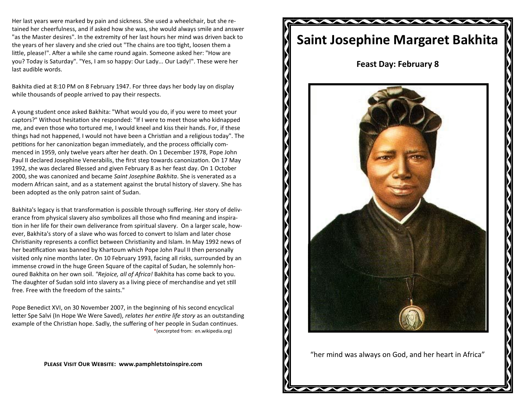Her last years were marked by pain and sickness. She used a wheelchair, but she retained her cheerfulness, and if asked how she was, she would always smile and answer "as the Master desires". In the extremity of her last hours her mind was driven back to the years of her slavery and she cried out "The chains are too tight, loosen them a little, please!". After a while she came round again. Someone asked her: "How are you? Today is Saturday". "Yes, I am so happy: Our Lady... Our Lady!". These were her last audible words.

Bakhita died at 8:10 PM on 8 February 1947. For three days her body lay on display while thousands of people arrived to pay their respects.

A young student once asked Bakhita: "What would you do, if you were to meet your captors?" Without hesitation she responded: "If I were to meet those who kidnapped me, and even those who tortured me, I would kneel and kiss their hands. For, if these things had not happened, I would not have been a Christian and a religious today". The petitions for her [canonization](http://en.wikipedia.org/wiki/Canonization) began immediately, and the process officially commenced in 1959, only twelve years after her death. On 1 December 1978, [Pope John](http://en.wikipedia.org/wiki/Pope_John_Paul_II)  [Paul II](http://en.wikipedia.org/wiki/Pope_John_Paul_II) declared Josephine [Venerabilis,](http://en.wikipedia.org/wiki/Venerable) the first step towards canonization. On 17 May 1992, she was declared [Blessed](http://en.wikipedia.org/wiki/Beatification) and given February 8 as her feast day. On 1 October 2000, she was canonized and became *Saint Josephine Bakhita*. She is venerated as a modern African saint, and as a statement against the brutal history of slavery. She has been adopted as the only [patron saint](http://en.wikipedia.org/wiki/Patron_saint) of Sudan.

Bakhita's legacy is that transformation is possible through suffering. Her story of deliverance from physical slavery also symbolizes all those who find meaning and inspiration in her life for their own deliverance from spiritual slavery. On a larger scale, however, Bakhita's story of a slave who was forced to convert to Islam and later chose Christianity represents a conflict between Christianity and Islam. In May 1992 news of her beatification was banned by Khartoum which [Pope John Paul II](http://en.wikipedia.org/wiki/Pope_John_Paul_II) then personally visited only nine months later. On 10 February 1993, facing all risks, surrounded by an immense crowd in the huge Green Square of the capital of Sudan, he solemnly honoured Bakhita on her own soil. *"Rejoice, all of Africa!* Bakhita has come back to you. The daughter of Sudan sold into slavery as a living piece of merchandise and yet still free. Free with the freedom of the saints."

[Pope Benedict XVI,](http://en.wikipedia.org/wiki/Pope_Benedict_XVI) on 30 November 2007, in the beginning of his second encyclical letter [Spe Salvi](http://en.wikipedia.org/wiki/Spe_Salvi) (In Hope We Were Saved), *relates her entire life story* as an outstanding example of the Christian hope. Sadly, the suffering of her people in Sudan continues. \*(excerpted from: en.wikipedia.org)

**Please Visit Our Website: www.pamphletstoinspire.com**